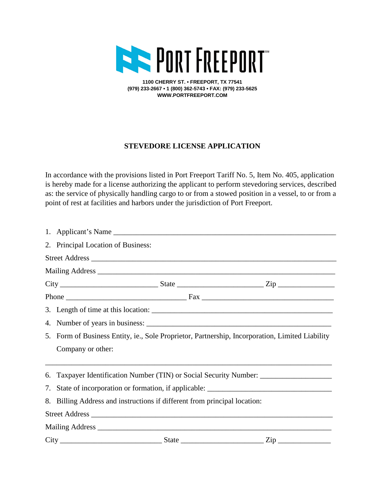

**1100 CHERRY ST. • FREEPORT, TX 77541 (979) 233-2667 • 1 (800) 362-5743 • FAX: (979) 233-5625 WWW.PORTFREEPORT.COM**

## **STEVEDORE LICENSE APPLICATION**

In accordance with the provisions listed in Port Freeport Tariff No. 5, Item No. 405, application is hereby made for a license authorizing the applicant to perform stevedoring services, described as: the service of physically handling cargo to or from a stowed position in a vessel, to or from a point of rest at facilities and harbors under the jurisdiction of Port Freeport.

|  | 2. Principal Location of Business:                                                              |  |                                                                                                                                                                  |  |
|--|-------------------------------------------------------------------------------------------------|--|------------------------------------------------------------------------------------------------------------------------------------------------------------------|--|
|  |                                                                                                 |  |                                                                                                                                                                  |  |
|  |                                                                                                 |  |                                                                                                                                                                  |  |
|  |                                                                                                 |  | $City$ ${\bf \underline{\hspace{1cm}}}$ ${\bf State}$ ${\bf \underline{\hspace{1cm}}}$ ${\bf \underline{\hspace{1cm}}}$ ${Zip}$ ${\bf \underline{\hspace{1cm}}}$ |  |
|  |                                                                                                 |  |                                                                                                                                                                  |  |
|  |                                                                                                 |  |                                                                                                                                                                  |  |
|  |                                                                                                 |  |                                                                                                                                                                  |  |
|  | 5. Form of Business Entity, ie., Sole Proprietor, Partnership, Incorporation, Limited Liability |  |                                                                                                                                                                  |  |
|  | Company or other:                                                                               |  |                                                                                                                                                                  |  |
|  | 6. Taxpayer Identification Number (TIN) or Social Security Number: ______________               |  |                                                                                                                                                                  |  |
|  | 7. State of incorporation or formation, if applicable: __________________________               |  |                                                                                                                                                                  |  |
|  | 8. Billing Address and instructions if different from principal location:                       |  |                                                                                                                                                                  |  |
|  |                                                                                                 |  |                                                                                                                                                                  |  |
|  |                                                                                                 |  |                                                                                                                                                                  |  |
|  |                                                                                                 |  |                                                                                                                                                                  |  |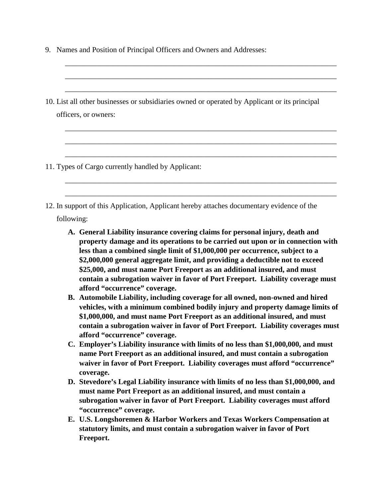- 9. Names and Position of Principal Officers and Owners and Addresses:
- \_\_\_\_\_\_\_\_\_\_\_\_\_\_\_\_\_\_\_\_\_\_\_\_\_\_\_\_\_\_\_\_\_\_\_\_\_\_\_\_\_\_\_\_\_\_\_\_\_\_\_\_\_\_\_\_\_\_\_\_\_\_\_\_\_\_\_\_\_\_\_\_ \_\_\_\_\_\_\_\_\_\_\_\_\_\_\_\_\_\_\_\_\_\_\_\_\_\_\_\_\_\_\_\_\_\_\_\_\_\_\_\_\_\_\_\_\_\_\_\_\_\_\_\_\_\_\_\_\_\_\_\_\_\_\_\_\_\_\_\_\_\_\_\_ 10. List all other businesses or subsidiaries owned or operated by Applicant or its principal officers, or owners: \_\_\_\_\_\_\_\_\_\_\_\_\_\_\_\_\_\_\_\_\_\_\_\_\_\_\_\_\_\_\_\_\_\_\_\_\_\_\_\_\_\_\_\_\_\_\_\_\_\_\_\_\_\_\_\_\_\_\_\_\_\_\_\_\_\_\_\_\_\_\_\_ \_\_\_\_\_\_\_\_\_\_\_\_\_\_\_\_\_\_\_\_\_\_\_\_\_\_\_\_\_\_\_\_\_\_\_\_\_\_\_\_\_\_\_\_\_\_\_\_\_\_\_\_\_\_\_\_\_\_\_\_\_\_\_\_\_\_\_\_\_\_\_\_ \_\_\_\_\_\_\_\_\_\_\_\_\_\_\_\_\_\_\_\_\_\_\_\_\_\_\_\_\_\_\_\_\_\_\_\_\_\_\_\_\_\_\_\_\_\_\_\_\_\_\_\_\_\_\_\_\_\_\_\_\_\_\_\_\_\_\_\_\_\_\_\_ 11. Types of Cargo currently handled by Applicant: \_\_\_\_\_\_\_\_\_\_\_\_\_\_\_\_\_\_\_\_\_\_\_\_\_\_\_\_\_\_\_\_\_\_\_\_\_\_\_\_\_\_\_\_\_\_\_\_\_\_\_\_\_\_\_\_\_\_\_\_\_\_\_\_\_\_\_\_\_\_\_\_ \_\_\_\_\_\_\_\_\_\_\_\_\_\_\_\_\_\_\_\_\_\_\_\_\_\_\_\_\_\_\_\_\_\_\_\_\_\_\_\_\_\_\_\_\_\_\_\_\_\_\_\_\_\_\_\_\_\_\_\_\_\_\_\_\_\_\_\_\_\_\_\_ 12. In support of this Application, Applicant hereby attaches documentary evidence of the following: **A. General Liability insurance covering claims for personal injury, death and property damage and its operations to be carried out upon or in connection with less than a combined single limit of \$1,000,000 per occurrence, subject to a \$2,000,000 general aggregate limit, and providing a deductible not to exceed \$25,000, and must name Port Freeport as an additional insured, and must contain a subrogation waiver in favor of Port Freeport. Liability coverage must afford "occurrence" coverage. B. Automobile Liability, including coverage for all owned, non-owned and hired vehicles, with a minimum combined bodily injury and property damage limits of \$1,000,000, and must name Port Freeport as an additional insured, and must contain a subrogation waiver in favor of Port Freeport. Liability coverages must afford "occurrence" coverage.**

\_\_\_\_\_\_\_\_\_\_\_\_\_\_\_\_\_\_\_\_\_\_\_\_\_\_\_\_\_\_\_\_\_\_\_\_\_\_\_\_\_\_\_\_\_\_\_\_\_\_\_\_\_\_\_\_\_\_\_\_\_\_\_\_\_\_\_\_\_\_\_\_

- **C. Employer's Liability insurance with limits of no less than \$1,000,000, and must name Port Freeport as an additional insured, and must contain a subrogation waiver in favor of Port Freeport. Liability coverages must afford "occurrence" coverage.**
- **D. Stevedore's Legal Liability insurance with limits of no less than \$1,000,000, and must name Port Freeport as an additional insured, and must contain a subrogation waiver in favor of Port Freeport. Liability coverages must afford "occurrence" coverage.**
- **E. U.S. Longshoremen & Harbor Workers and Texas Workers Compensation at statutory limits, and must contain a subrogation waiver in favor of Port Freeport.**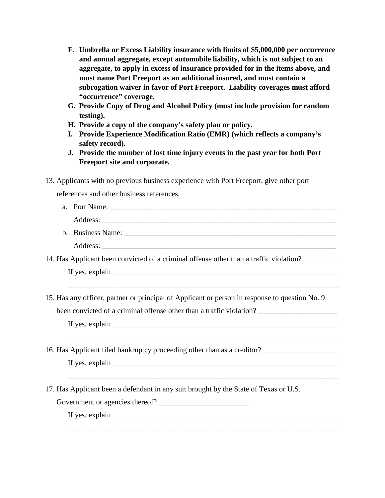- **F. Umbrella or Excess Liability insurance with limits of \$5,000,000 per occurrence and annual aggregate, except automobile liability, which is not subject to an aggregate, to apply in excess of insurance provided for in the items above, and must name Port Freeport as an additional insured, and must contain a subrogation waiver in favor of Port Freeport. Liability coverages must afford "occurrence" coverage.**
- **G. Provide Copy of Drug and Alcohol Policy (must include provision for random testing).**
- **H. Provide a copy of the company's safety plan or policy.**
- **I. Provide Experience Modification Ratio (EMR) (which reflects a company's safety record).**
- **J. Provide the number of lost time injury events in the past year for both Port Freeport site and corporate.**
- 13. Applicants with no previous business experience with Port Freeport, give other port

references and other business references.

| a. Port Name:                                                         |
|-----------------------------------------------------------------------|
| Address:<br><u> 1989 - John Stone, Amerikaansk politiker († 1908)</u> |
| b. Business Name:                                                     |
| Address:                                                              |

\_\_\_\_\_\_\_\_\_\_\_\_\_\_\_\_\_\_\_\_\_\_\_\_\_\_\_\_\_\_\_\_\_\_\_\_\_\_\_\_\_\_\_\_\_\_\_\_\_\_\_\_\_\_\_\_\_\_\_\_\_\_\_\_\_\_\_\_\_\_\_\_

\_\_\_\_\_\_\_\_\_\_\_\_\_\_\_\_\_\_\_\_\_\_\_\_\_\_\_\_\_\_\_\_\_\_\_\_\_\_\_\_\_\_\_\_\_\_\_\_\_\_\_\_\_\_\_\_\_\_\_\_\_\_\_\_\_\_\_\_\_\_\_\_

\_\_\_\_\_\_\_\_\_\_\_\_\_\_\_\_\_\_\_\_\_\_\_\_\_\_\_\_\_\_\_\_\_\_\_\_\_\_\_\_\_\_\_\_\_\_\_\_\_\_\_\_\_\_\_\_\_\_\_\_\_\_\_\_\_\_\_\_\_\_\_\_

\_\_\_\_\_\_\_\_\_\_\_\_\_\_\_\_\_\_\_\_\_\_\_\_\_\_\_\_\_\_\_\_\_\_\_\_\_\_\_\_\_\_\_\_\_\_\_\_\_\_\_\_\_\_\_\_\_\_\_\_\_\_\_\_\_\_\_\_\_\_\_\_

14. Has Applicant been convicted of a criminal offense other than a traffic violation? \_\_\_\_\_\_\_\_\_

If yes, explain \_\_\_\_\_\_\_\_\_\_\_\_\_\_\_\_\_\_\_\_\_\_\_\_\_\_\_\_\_\_\_\_\_\_\_\_\_\_\_\_\_\_\_\_\_\_\_\_\_\_\_\_\_\_\_\_\_\_\_\_

15. Has any officer, partner or principal of Applicant or person in response to question No. 9

been convicted of a criminal offense other than a traffic violation?

If yes, explain \_\_\_\_\_\_\_\_\_\_\_\_\_\_\_\_\_\_\_\_\_\_\_\_\_\_\_\_\_\_\_\_\_\_\_\_\_\_\_\_\_\_\_\_\_\_\_\_\_\_\_\_\_\_\_\_\_\_\_\_

16. Has Applicant filed bankruptcy proceeding other than as a creditor?

If yes, explain  $\Box$ 

17. Has Applicant been a defendant in any suit brought by the State of Texas or U.S.

Government or agencies thereof?

If yes, explain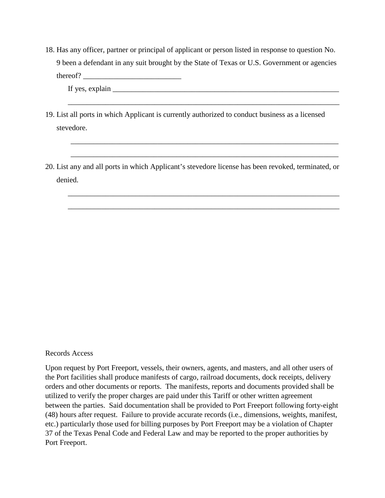18. Has any officer, partner or principal of applicant or person listed in response to question No. 9 been a defendant in any suit brought by the State of Texas or U.S. Government or agencies thereof?

\_\_\_\_\_\_\_\_\_\_\_\_\_\_\_\_\_\_\_\_\_\_\_\_\_\_\_\_\_\_\_\_\_\_\_\_\_\_\_\_\_\_\_\_\_\_\_\_\_\_\_\_\_\_\_\_\_\_\_\_\_\_\_\_\_\_\_\_\_\_\_\_

\_\_\_\_\_\_\_\_\_\_\_\_\_\_\_\_\_\_\_\_\_\_\_\_\_\_\_\_\_\_\_\_\_\_\_\_\_\_\_\_\_\_\_\_\_\_\_\_\_\_\_\_\_\_\_\_\_\_\_\_\_\_\_\_\_\_\_\_\_\_\_

\_\_\_\_\_\_\_\_\_\_\_\_\_\_\_\_\_\_\_\_\_\_\_\_\_\_\_\_\_\_\_\_\_\_\_\_\_\_\_\_\_\_\_\_\_\_\_\_\_\_\_\_\_\_\_\_\_\_\_\_\_\_\_\_\_\_\_\_\_\_\_

\_\_\_\_\_\_\_\_\_\_\_\_\_\_\_\_\_\_\_\_\_\_\_\_\_\_\_\_\_\_\_\_\_\_\_\_\_\_\_\_\_\_\_\_\_\_\_\_\_\_\_\_\_\_\_\_\_\_\_\_\_\_\_\_\_\_\_\_\_\_\_\_

\_\_\_\_\_\_\_\_\_\_\_\_\_\_\_\_\_\_\_\_\_\_\_\_\_\_\_\_\_\_\_\_\_\_\_\_\_\_\_\_\_\_\_\_\_\_\_\_\_\_\_\_\_\_\_\_\_\_\_\_\_\_\_\_\_\_\_\_\_\_\_\_

If yes, explain  $\Box$ 

- 19. List all ports in which Applicant is currently authorized to conduct business as a licensed stevedore.
- 20. List any and all ports in which Applicant's stevedore license has been revoked, terminated, or denied.

## Records Access

Upon request by Port Freeport, vessels, their owners, agents, and masters, and all other users of the Port facilities shall produce manifests of cargo, railroad documents, dock receipts, delivery orders and other documents or reports. The manifests, reports and documents provided shall be utilized to verify the proper charges are paid under this Tariff or other written agreement between the parties. Said documentation shall be provided to Port Freeport following forty-eight (48) hours after request. Failure to provide accurate records (i.e., dimensions, weights, manifest, etc.) particularly those used for billing purposes by Port Freeport may be a violation of Chapter 37 of the Texas Penal Code and Federal Law and may be reported to the proper authorities by Port Freeport.